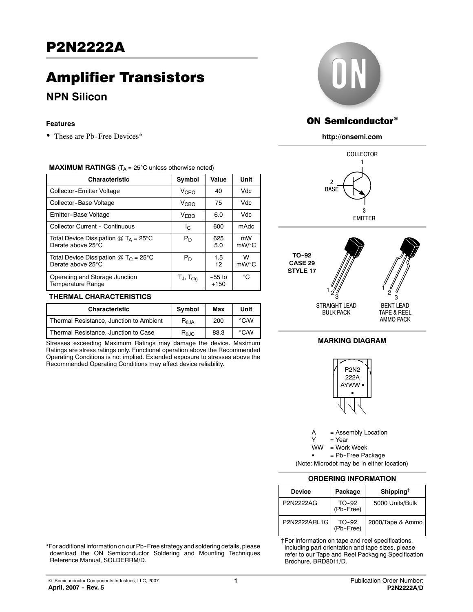# Amplifier Transistors

# **NPN Silicon**

#### **Features**

• These are Pb-Free Devices\*

#### **MAXIMUM RATINGS** ( $T_A = 25^\circ C$  unless otherwise noted)

| <b>Characteristic</b>                                                   | Symbol                   | Value              | Unit             |
|-------------------------------------------------------------------------|--------------------------|--------------------|------------------|
| Collector-Emitter Voltage                                               | V <sub>CEO</sub>         | 40                 | Vdc.             |
| Collector-Base Voltage                                                  | <b>V<sub>CBO</sub></b>   | 75                 | Vdc.             |
| Emitter-Base Voltage                                                    | V <sub>EBO</sub>         | 6.0                | Vdc.             |
| Collector Current - Continuous                                          | Ic.                      | 600                | m <sub>Adc</sub> |
| Total Device Dissipation $@T_A = 25^\circ C$<br>Derate above 25°C       | $P_D$                    | 625<br>5.0         | mW<br>$mW$ /°C   |
| Total Device Dissipation $@$ T <sub>C</sub> = 25°C<br>Derate above 25°C | $P_D$                    | 1.5<br>12          | w<br>$mW$ /°C    |
| Operating and Storage Junction<br>Temperature Range                     | $T_J$ , $T_{\text{stg}}$ | $-55$ to<br>$+150$ | °€               |

#### **THERMAL CHARACTERISTICS**

| <b>Characteristic</b>                   | Symbol                  | Max  | Unit          |
|-----------------------------------------|-------------------------|------|---------------|
| Thermal Resistance, Junction to Ambient | $R_{\theta, \text{JA}}$ | 200  | $\degree$ C/W |
| Thermal Resistance, Junction to Case    | $R_{\theta \text{JC}}$  | 83.3 | $\degree$ C/W |

Stresses exceeding Maximum Ratings may damage the device. Maximum Ratings are stress ratings only. Functional operation above the Recommended Operating Conditions is not implied. Extended exposure to stresses above the Recommended Operating Conditions may affect device reliability.



# ON Semiconductor®

#### **http://onsemi.com**





## **MARKING DIAGRAM**



A = Assembly Location

 $Y = Year$ <br> $WW = Work$ 

= Work Week

= Pb-Free Package

(Note: Microdot may be in either location)

#### **ORDERING INFORMATION**

| Device        | Package            | Shipping <sup>†</sup> |
|---------------|--------------------|-----------------------|
| P2N2222AG     | TO-92<br>(Pb-Free) | 5000 Units/Bulk       |
| P2N2222ARI 1G | TO-92<br>(Pb-Free) | 2000/Tape & Ammo      |

†For information on tape and reel specifications, including part orientation and tape sizes, please refer to our Tape and Reel Packaging Specification Brochure, BRD8011/D.

\*For additional information on our Pb--Free strategy and soldering details, please download the ON Semiconductor Soldering and Mounting Techniques Reference Manual, SOLDERRM/D.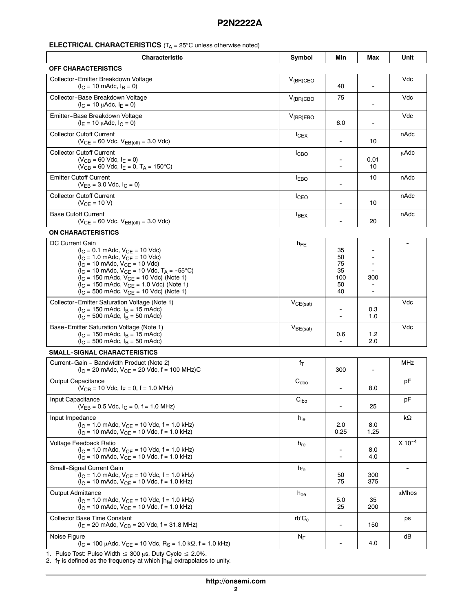## **ELECTRICAL CHARACTERISTICS** (T<sub>A</sub> = 25°C unless otherwise noted)

| <b>Characteristic</b>                                                                                                                                                                                                                                                                                                                                                                                                                                                                               | Symbol                      | Min                                     | Max         | Unit        |
|-----------------------------------------------------------------------------------------------------------------------------------------------------------------------------------------------------------------------------------------------------------------------------------------------------------------------------------------------------------------------------------------------------------------------------------------------------------------------------------------------------|-----------------------------|-----------------------------------------|-------------|-------------|
| <b>OFF CHARACTERISTICS</b>                                                                                                                                                                                                                                                                                                                                                                                                                                                                          |                             |                                         |             |             |
| Collector-Emitter Breakdown Voltage<br>$(l_C = 10 \text{ m}$ Adc, $l_B = 0$ )                                                                                                                                                                                                                                                                                                                                                                                                                       | $V_{(BR)CEO}$               | 40                                      | ۰           | Vdc         |
| Collector-Base Breakdown Voltage<br>$(I_C = 10 \mu A d c, I_F = 0)$                                                                                                                                                                                                                                                                                                                                                                                                                                 | $V_{(BR)CBO}$               | 75                                      |             | Vdc         |
| Emitter-Base Breakdown Voltage<br>$(IE = 10 \mu A d c, IC = 0)$                                                                                                                                                                                                                                                                                                                                                                                                                                     | $V_{(BR)EBO}$               | 6.0                                     |             | Vdc         |
| <b>Collector Cutoff Current</b><br>$(V_{CE} = 60$ Vdc, $V_{EB(off)} = 3.0$ Vdc)                                                                                                                                                                                                                                                                                                                                                                                                                     | $I_{CEX}$                   |                                         | 10          | nAdc        |
| <b>Collector Cutoff Current</b><br>$(V_{CB} = 60$ Vdc, $I_E = 0)$<br>$(V_{CB} = 60$ Vdc, $I_E = 0$ , $T_A = 150$ °C)                                                                                                                                                                                                                                                                                                                                                                                | I <sub>CBO</sub>            |                                         | 0.01<br>10  | µAdc        |
| <b>Emitter Cutoff Current</b><br>$(V_{EB} = 3.0$ Vdc, $I_C = 0)$                                                                                                                                                                                                                                                                                                                                                                                                                                    | <b>IEBO</b>                 |                                         | 10          | nAdc        |
| <b>Collector Cutoff Current</b><br>$(V_{CE} = 10 V)$                                                                                                                                                                                                                                                                                                                                                                                                                                                | <b>I</b> CEO                |                                         | 10          | nAdc        |
| <b>Base Cutoff Current</b><br>$(V_{CE} = 60$ Vdc, $V_{EB(off)} = 3.0$ Vdc)                                                                                                                                                                                                                                                                                                                                                                                                                          | <b>IBEX</b>                 |                                         | 20          | nAdc        |
| <b>ON CHARACTERISTICS</b>                                                                                                                                                                                                                                                                                                                                                                                                                                                                           |                             |                                         |             |             |
| <b>DC Current Gain</b><br>$(I_C = 0.1 \text{ m}$ Adc, $V_{CE} = 10 \text{ V}$ dc)<br>$(I_C = 1.0 \text{ m}$ Adc, $V_{CE} = 10 \text{ V}$ dc)<br>$(I_C = 10 \text{ m}$ Adc, $V_{CE} = 10 \text{ V}$ dc)<br>$(I_C = 10 \text{ m}$ Adc, V <sub>CE</sub> = 10 Vdc, T <sub>A</sub> = -55°C)<br>$(I_C = 150 \text{ m}$ Adc, $V_{CE} = 10 \text{ V}$ dc) (Note 1)<br>$(l_C = 150 \text{ m}$ Adc, $V_{CE} = 1.0 \text{ V}$ dc) (Note 1)<br>$(I_C = 500 \text{ m}$ Adc, $V_{CE} = 10 \text{ V}$ dc) (Note 1) | $h_{FE}$                    | 35<br>50<br>75<br>35<br>100<br>50<br>40 | 300         |             |
| Collector-Emitter Saturation Voltage (Note 1)<br>$(I_C = 150 \text{ m}$ Adc, $I_B = 15 \text{ m}$ Adc)<br>$(I_C = 500 \text{ m}$ Adc, $I_B = 50 \text{ m}$ Adc)                                                                                                                                                                                                                                                                                                                                     | $V_{CE(sat)}$               |                                         | 0.3<br>1.0  | Vdc         |
| Base-Emitter Saturation Voltage (Note 1)<br>$(I_C = 150 \text{ m}$ Adc, $I_B = 15 \text{ m}$ Adc)<br>$(I_C = 500 \text{ m}$ Adc, $I_B = 50 \text{ m}$ Adc)                                                                                                                                                                                                                                                                                                                                          | $V_{BE(sat)}$               | 0.6                                     | 1.2<br>2.0  | Vdc         |
| SMALL-SIGNAL CHARACTERISTICS                                                                                                                                                                                                                                                                                                                                                                                                                                                                        |                             |                                         |             |             |
| Current-Gain - Bandwidth Product (Note 2)<br>$(I_C = 20 \text{ m}$ Adc, $V_{CE} = 20 \text{ V}$ dc, f = 100 MHz)C                                                                                                                                                                                                                                                                                                                                                                                   | fτ                          | 300                                     |             | MHz         |
| <b>Output Capacitance</b><br>$(V_{CB} = 10$ Vdc, $I_E = 0$ , f = 1.0 MHz)                                                                                                                                                                                                                                                                                                                                                                                                                           | $C_{\rm obo}$               |                                         | 8.0         | рF          |
| Input Capacitance<br>$(V_{EB} = 0.5$ Vdc, $I_C = 0$ , f = 1.0 MHz)                                                                                                                                                                                                                                                                                                                                                                                                                                  | $\mathbf{C}_{\mathsf{ibo}}$ | $\overline{\phantom{a}}$                | 25          | pF          |
| Input Impedance<br>$(I_C = 1.0 \text{ m}$ Adc, $V_{CE} = 10 \text{ V}$ dc, f = 1.0 kHz)<br>$(I_C = 10 \text{ m}$ Adc, $V_{CE} = 10 \text{ Vdc}$ , f = 1.0 kHz)                                                                                                                                                                                                                                                                                                                                      | $h_{ie}$                    | 2.0<br>0.25                             | 8.0<br>1.25 | kΩ          |
| Voltage Feedback Ratio<br>$(I_C = 1.0 \text{ m}$ Adc, $V_{CF} = 10 \text{ V}$ dc, f = 1.0 kHz)<br>$(I_C = 10 \text{ m}$ Adc, $V_{CE} = 10 \text{ V}$ dc, f = 1.0 kHz)                                                                                                                                                                                                                                                                                                                               | $h_{re}$                    | $\overline{\phantom{a}}$                | 8.0<br>4.0  | $X 10^{-4}$ |
| Small-Signal Current Gain<br>$(I_C = 1.0 \text{ m}$ Adc, $V_{CE} = 10 \text{ V}$ dc, f = 1.0 kHz)<br>$(I_C = 10 \text{ m}$ Adc, $V_{CE} = 10 \text{ V}$ dc, f = 1.0 kHz)                                                                                                                                                                                                                                                                                                                            | h <sub>fe</sub>             | 50<br>75                                | 300<br>375  |             |
| <b>Output Admittance</b><br>$(I_C = 1.0 \text{ m}$ Adc, $V_{CE} = 10 \text{ V}$ dc, f = 1.0 kHz)<br>$(I_C = 10 \text{ m}$ Adc, $V_{CE} = 10 \text{ V}$ dc, f = 1.0 kHz)                                                                                                                                                                                                                                                                                                                             | $h_{oe}$                    | 5.0<br>25                               | 35<br>200   | μMhos       |
| Collector Base Time Constant<br>$(IE = 20$ mAdc, $VCB = 20$ Vdc, f = 31.8 MHz)                                                                                                                                                                                                                                                                                                                                                                                                                      | $rb'C_c$                    |                                         | 150         | ps          |
| Noise Figure<br>$(I_C = 100 \mu A dC, V_{CE} = 10 \text{ V} dC, R_S = 1.0 \text{ k}\Omega, f = 1.0 \text{ kHz}$                                                                                                                                                                                                                                                                                                                                                                                     | NF                          |                                         | 4.0         | dB          |

1. Pulse Test: Pulse Width  $\leq 300 \mu s$ , Duty Cycle  $\leq 2.0\%$ .

2.  $f_{\mathsf{T}}$  is defined as the frequency at which  $|\mathsf{h}_{\mathsf{fe}}|$  extrapolates to unity.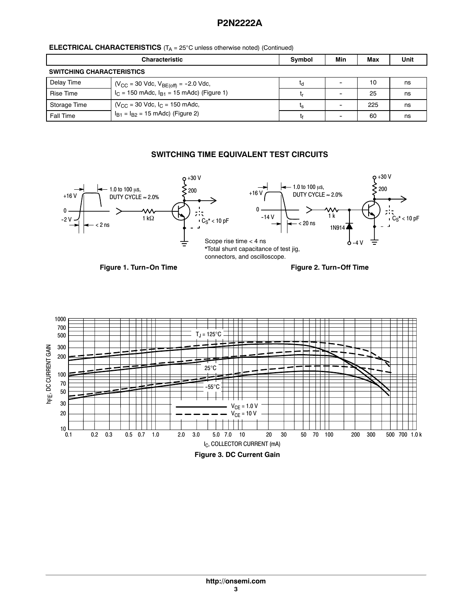| <b>ELECTRICAL CHARACTERISTICS</b> ( $T_A = 25^\circ$ C unless otherwise noted) (Continued) |  |  |
|--------------------------------------------------------------------------------------------|--|--|
|--------------------------------------------------------------------------------------------|--|--|

|                                                      | <b>Characteristic</b>                                | <b>Symbol</b>  | Min | Max | Unit |
|------------------------------------------------------|------------------------------------------------------|----------------|-----|-----|------|
| <b>SWITCHING CHARACTERISTICS</b>                     |                                                      |                |     |     |      |
| Delay Time                                           | $(V_{CC} = 30$ Vdc, $V_{BE(off)} = -2.0$ Vdc,        | ٢q             |     | 10  | ns   |
| <b>Rise Time</b>                                     | $I_C$ = 150 mAdc, $I_{B1}$ = 15 mAdc) (Figure 1)     |                |     | 25  | ns   |
| Storage Time                                         | $N_{\text{CC}}$ = 30 Vdc, $I_{\text{C}}$ = 150 mAdc, | ι <sub>S</sub> |     | 225 | ns   |
| $I_{B1} = I_{B2} = 15$ mAdc) (Figure 2)<br>Fall Time |                                                      |                | 60  | ns  |      |

## **SWITCHING TIME EQUIVALENT TEST CIRCUITS**



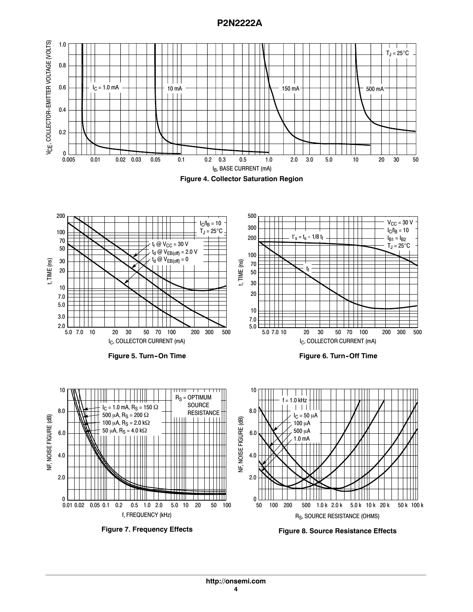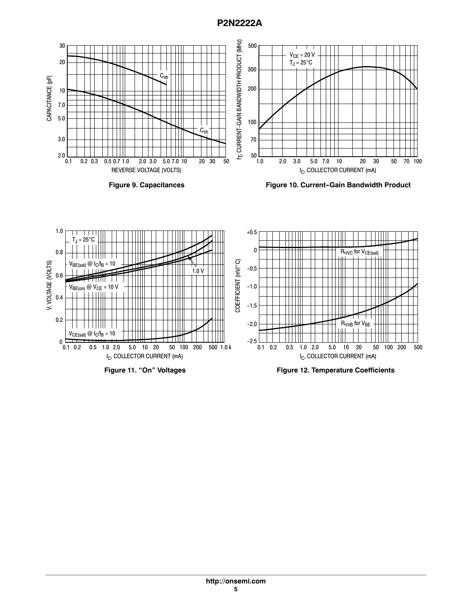

**Figure 9. Capacitances**

**Figure 10. Current-Gain Bandwidth Product** 



**Figure 11. "On" Voltages**

**Figure 12. Temperature Coefficients**